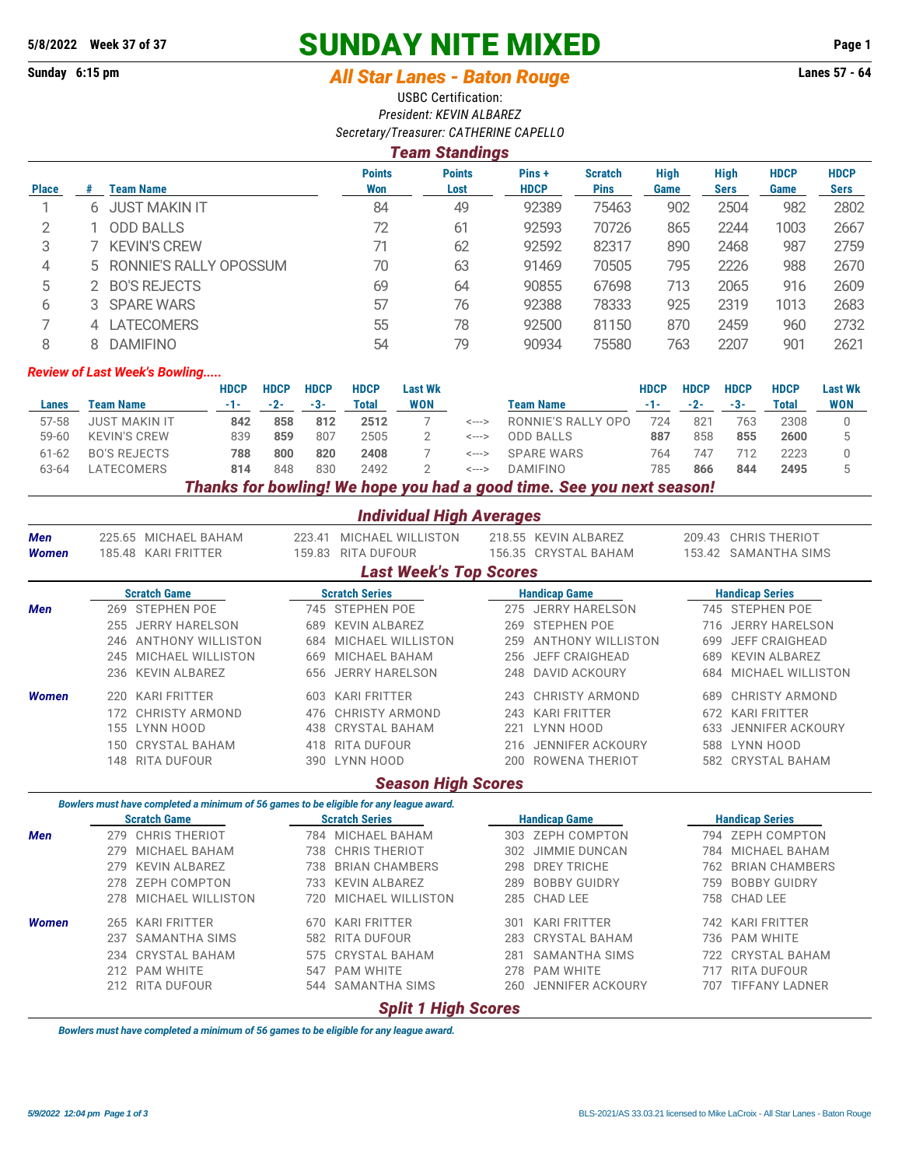# **5/8/2022 Week 37 of 37 SUNDAY NITE MIXED Page 1**

# **Sunday 6:15 pm** *All Star Lanes - Baton Rouge* **Lanes 57 - 64**

USBC Certification: *President: KEVIN ALBAREZ Secretary/Treasurer: CATHERINE CAPELLO*

## *Team Standings*

|              |   | Team Name                | <b>Points</b> | <b>Points</b> | Pins +<br><b>HDCP</b> | <b>Scratch</b><br><b>Pins</b> | <b>High</b><br>Game | <b>High</b> | <b>HDCP</b> | <b>HDCP</b> |
|--------------|---|--------------------------|---------------|---------------|-----------------------|-------------------------------|---------------------|-------------|-------------|-------------|
| <b>Place</b> | # |                          | Won           | Lost          |                       |                               |                     | Sers        | Game        | <b>Sers</b> |
|              |   | <b>JUST MAKIN IT</b>     | 84            | 49            | 92389                 | 75463                         | 902                 | 2504        | 982         | 2802        |
| っ            |   | <b>ODD BALLS</b>         | 72            | 61            | 92593                 | 70726                         | 865                 | 2244        | 1003        | 2667        |
| 3            |   | <b>KEVIN'S CREW</b>      | 71            | 62            | 92592                 | 82317                         | 890                 | 2468        | 987         | 2759        |
| 4            |   | 5 RONNIE'S RALLY OPOSSUM | 70            | 63            | 91469                 | 70505                         | 795                 | 2226        | 988         | 2670        |
| 5            |   | <b>BO'S REJECTS</b>      | 69            | 64            | 90855                 | 67698                         | 713                 | 2065        | 916         | 2609        |
| 6            |   | 3 SPARE WARS             | 57            | 76            | 92388                 | 78333                         | 925                 | 2319        | 1013        | 2683        |
|              |   | 4 LATECOMERS             | 55            | 78            | 92500                 | 81150                         | 870                 | 2459        | 960         | 2732        |
| 8            |   | <b>DAMIFINO</b>          | 54            | 79            | 90934                 | 75580                         | 763                 | 2207        | 901         | 2621        |

### *Review of Last Week's Bowling.....*

|           |                                                                       | HDCP | <b>HDCP</b> | <b>HDCP</b> | <b>HDCP</b> | <b>Last Wk</b> |       |                    | HDCP | <b>HDCP</b> | <b>HDCP</b> | <b>HDCP</b> | <b>Last Wk</b> |
|-----------|-----------------------------------------------------------------------|------|-------------|-------------|-------------|----------------|-------|--------------------|------|-------------|-------------|-------------|----------------|
| Lanes     | Team Name                                                             | -1-  | $-2-$       | -3-         | Total       | WON            |       | Team Name          |      |             | -3-         | Total       | <b>WON</b>     |
| 57-58     | JUST MAKIN IT                                                         | 842  | 858         | 812         | 2512        |                | <---> | RONNIE'S RALLY OPO | 724  | 821         | 763         | 2308        |                |
| $59 - 60$ | <b>KEVIN'S CREW</b>                                                   | 839  | 859         | 807         | 2505        |                | <---> | <b>ODD BALLS</b>   | 887  | 858         | 855         | 2600        |                |
| $61 - 62$ | <b>BO'S REJECTS</b>                                                   | 788  | 800         | 820         | 2408        |                | <---> | SPARF WARS         | 764  | 747         |             | 2223        |                |
| 63-64     | <b>ATECOMERS</b>                                                      | 814  | 848         | 830         | 2492        |                | <---> | <b>DAMIFINO</b>    | 785  | 866         | 844         | 2495        |                |
|           | Thanks for bowling! We hope you had a good time. See you next season! |      |             |             |             |                |       |                    |      |             |             |             |                |

|                     |     |                                                                                        |                  | <b>Individual High Averages</b>  |     |                                              |                        |                                              |  |
|---------------------|-----|----------------------------------------------------------------------------------------|------------------|----------------------------------|-----|----------------------------------------------|------------------------|----------------------------------------------|--|
| Men<br><b>Women</b> |     | 225.65 MICHAEL BAHAM<br>185.48 KARI FRITTER                                            | 223.41<br>159.83 | MICHAEL WILLISTON<br>RITA DUFOUR |     | 218.55 KEVIN ALBAREZ<br>156.35 CRYSTAL BAHAM |                        | 209.43 CHRIS THERIOT<br>153.42 SAMANTHA SIMS |  |
|                     |     |                                                                                        |                  | <b>Last Week's Top Scores</b>    |     |                                              |                        |                                              |  |
|                     |     | <b>Scratch Game</b>                                                                    |                  | <b>Scratch Series</b>            |     | <b>Handicap Game</b>                         |                        | <b>Handicap Series</b>                       |  |
| <b>Men</b>          |     | 269 STEPHEN POE                                                                        |                  | 745 STEPHEN POE                  | 275 | <b>JERRY HARELSON</b>                        |                        | 745 STEPHEN POE                              |  |
|                     | 255 | <b>JERRY HARELSON</b>                                                                  | 689              | <b>KEVIN ALBAREZ</b>             | 269 | <b>STEPHEN POE</b>                           | 716                    | <b>JERRY HARELSON</b>                        |  |
|                     | 246 | <b>ANTHONY WILLISTON</b>                                                               | 684              | MICHAEL WILLISTON                | 259 | <b>ANTHONY WILLISTON</b>                     | 699                    | <b>JEFF CRAIGHEAD</b>                        |  |
|                     | 245 | MICHAEL WILLISTON                                                                      | 669              | MICHAEL BAHAM                    | 256 | <b>JEFF CRAIGHEAD</b>                        | 689                    | <b>KEVIN ALBAREZ</b>                         |  |
|                     | 236 | <b>KEVIN ALBAREZ</b>                                                                   | 656              | <b>JERRY HARELSON</b>            | 248 | <b>DAVID ACKOURY</b>                         | 684                    | MICHAEL WILLISTON                            |  |
| <b>Women</b>        | 220 | <b>KARI FRITTER</b>                                                                    | 603              | <b>KARI FRITTER</b>              | 243 | <b>CHRISTY ARMOND</b>                        | 689                    | <b>CHRISTY ARMOND</b>                        |  |
|                     | 172 | <b>CHRISTY ARMOND</b>                                                                  | 476              | <b>CHRISTY ARMOND</b>            | 243 | <b>KARI FRITTER</b>                          | 672                    | <b>KARI FRITTER</b>                          |  |
|                     | 155 | LYNN HOOD                                                                              | 438              | <b>CRYSTAL BAHAM</b>             | 221 | LYNN HOOD                                    | 633                    | <b>JENNIFER ACKOURY</b>                      |  |
|                     | 150 | <b>CRYSTAL BAHAM</b>                                                                   | 418              | RITA DUFOUR                      | 216 | <b>JENNIFER ACKOURY</b>                      | 588                    | LYNN HOOD                                    |  |
|                     | 148 | <b>RITA DUFOUR</b>                                                                     | 390              | LYNN HOOD                        | 200 | ROWENA THERIOT                               |                        | 582 CRYSTAL BAHAM                            |  |
|                     |     |                                                                                        |                  | <b>Season High Scores</b>        |     |                                              |                        |                                              |  |
|                     |     | Bowlers must have completed a minimum of 56 games to be eligible for any league award. |                  |                                  |     |                                              |                        |                                              |  |
|                     |     | <b>Scratch Game</b>                                                                    |                  | <b>Scratch Series</b>            |     | <b>Handicap Game</b>                         | <b>Handicap Series</b> |                                              |  |
| <b>Men</b>          |     | 279 CHRIS THERIOT                                                                      |                  | 784 MICHAEL BAHAM                |     | 303 ZEPH COMPTON                             |                        | 794 ZEPH COMPTON                             |  |
|                     | 279 | MICHAEL BAHAM                                                                          | 738              | <b>CHRIS THERIOT</b>             | 302 | <b>JIMMIE DUNCAN</b>                         | 784                    | <b>MICHAEL BAHAM</b>                         |  |
|                     | 279 | <b>KEVIN ALBAREZ</b>                                                                   | 738              | <b>BRIAN CHAMBERS</b>            | 298 | <b>DREY TRICHE</b>                           | 762                    | <b>BRIAN CHAMBERS</b>                        |  |
|                     | 278 | ZEPH COMPTON                                                                           | 733              | <b>KEVIN ALBAREZ</b>             | 289 | <b>BOBBY GUIDRY</b>                          | 759                    | <b>BOBBY GUIDRY</b>                          |  |
|                     | 278 | MICHAEL WILLISTON                                                                      | 720              | MICHAEL WILLISTON                | 285 | <b>CHAD LEE</b>                              | 758                    | <b>CHAD LEE</b>                              |  |
| <b>Women</b>        |     | 265 KARI FRITTER                                                                       | 670              | KARI FRITTER                     | 301 | <b>KARI FRITTER</b>                          |                        | 742 KARI FRITTER                             |  |
|                     | 237 | <b>SAMANTHA SIMS</b>                                                                   | 582              | <b>RITA DUFOUR</b>               | 283 | <b>CRYSTAL BAHAM</b>                         | 736                    | <b>PAM WHITE</b>                             |  |
|                     | 234 | <b>CRYSTAL BAHAM</b>                                                                   | 575              | <b>CRYSTAL BAHAM</b>             | 281 | <b>SAMANTHA SIMS</b>                         | 722                    | <b>CRYSTAL BAHAM</b>                         |  |
|                     | 212 | <b>PAM WHITE</b>                                                                       | 547              | <b>PAM WHITE</b>                 | 278 | <b>PAM WHITE</b>                             | 717                    | <b>RITA DUFOUR</b>                           |  |
|                     |     | 212 RITA DUFOUR                                                                        |                  | 544 SAMANTHA SIMS                | 260 | <b>JENNIFER ACKOURY</b>                      | 707                    | <b>TIFFANY LADNER</b>                        |  |
|                     |     |                                                                                        |                  |                                  |     |                                              |                        |                                              |  |

# *Split 1 High Scores*

*Bowlers must have completed a minimum of 56 games to be eligible for any league award.*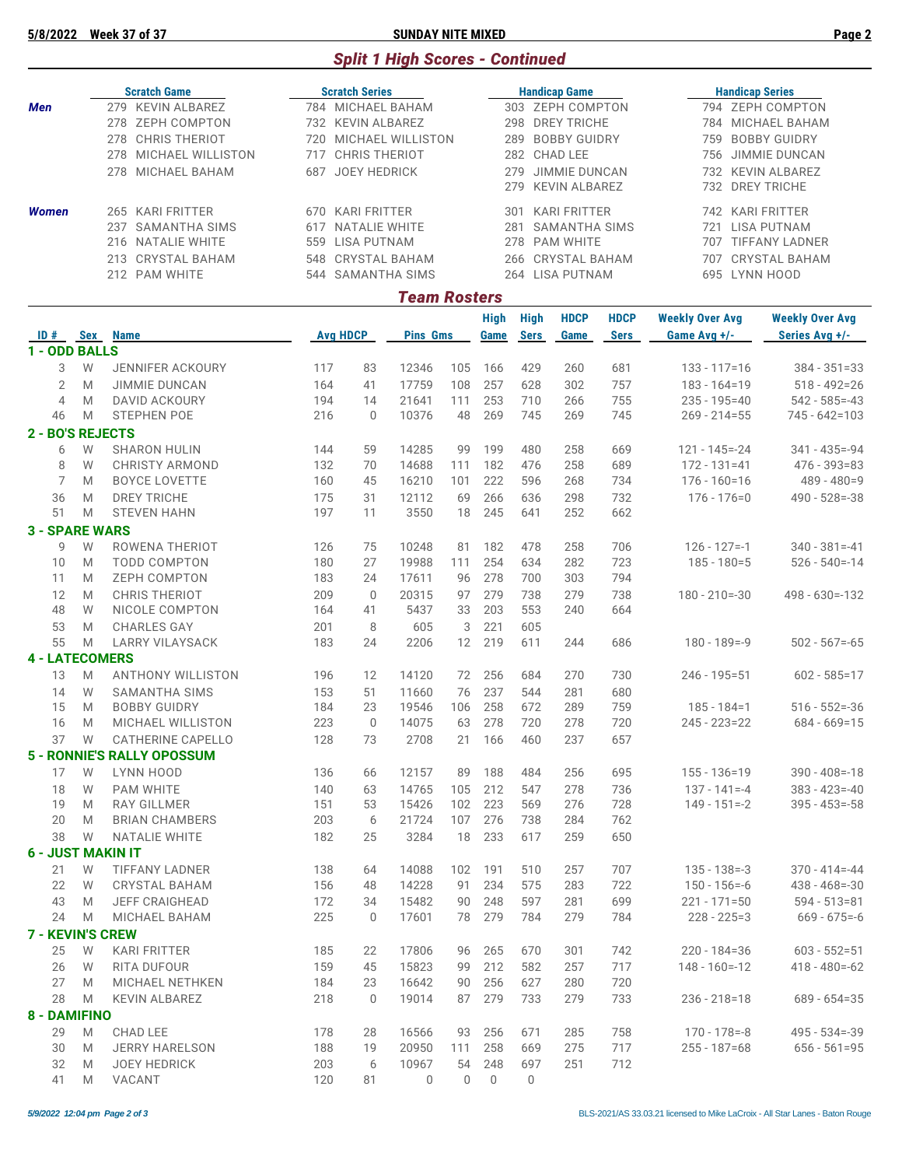**5/8/2022 Week 37 of 37 SUNDAY NITE MIXED Page 2**

# *Split 1 High Scores - Continued*

|               |            | <b>Scratch Game</b>         |       | <b>Scratch Series</b> |                     |     |      |             | <b>Handicap Game</b> |             |                        | <b>Handicap Series</b> |
|---------------|------------|-----------------------------|-------|-----------------------|---------------------|-----|------|-------------|----------------------|-------------|------------------------|------------------------|
| Men           |            | <b>KEVIN ALBAREZ</b><br>279 |       | 784 MICHAEL BAHAM     |                     |     |      |             | 303 ZEPH COMPTON     |             |                        | 794 ZEPH COMPTON       |
|               |            | ZEPH COMPTON<br>278         |       | 732 KEVIN ALBAREZ     |                     |     |      | 298         | <b>DREY TRICHE</b>   |             | 784                    | MICHAEL BAHAM          |
|               |            | <b>CHRIS THERIOT</b><br>278 | 720   | MICHAEL WILLISTON     |                     |     |      | 289         | <b>BOBBY GUIDRY</b>  |             | 759                    | <b>BOBBY GUIDRY</b>    |
|               |            | MICHAEL WILLISTON<br>278    | 717   | <b>CHRIS THERIOT</b>  |                     |     |      | 282         | CHAD LEE             |             | 756                    | JIMMIE DUNCAN          |
|               |            | MICHAEL BAHAM<br>278        | 687   | <b>JOEY HEDRICK</b>   |                     |     |      | 279         | <b>JIMMIE DUNCAN</b> |             | 732                    | <b>KEVIN ALBAREZ</b>   |
|               |            |                             |       |                       |                     |     |      | 279         | KEVIN ALBAREZ        |             |                        | 732 DREY TRICHE        |
| <b>Women</b>  |            | <b>KARI FRITTER</b><br>265  | 670   | KARI FRITTER          |                     |     |      | 301         | KARI FRITTER         |             | 742                    | KARI FRITTER           |
|               |            | SAMANTHA SIMS<br>237        | 617   | NATALIE WHITE         |                     |     |      | 281         | SAMANTHA SIMS        |             | 721                    | LISA PUTNAM            |
|               |            | NATALIE WHITE<br>216        | 559   | LISA PUTNAM           |                     |     |      | 278         | <b>PAM WHITE</b>     |             | 707                    | <b>TIFFANY LADNER</b>  |
|               |            | CRYSTAL BAHAM<br>213        |       | 548 CRYSTAL BAHAM     |                     |     |      | 266         | CRYSTAL BAHAM        |             | 707                    | <b>CRYSTAL BAHAM</b>   |
|               |            | 212 PAM WHITE               |       | 544 SAMANTHA SIMS     |                     |     |      |             | 264 LISA PUTNAM      |             |                        | 695 LYNN HOOD          |
|               |            |                             |       |                       | <b>Team Rosters</b> |     |      |             |                      |             |                        |                        |
|               |            |                             |       |                       |                     |     | High | High        | <b>HDCP</b>          | <b>HDCP</b> | <b>Weekly Over Avg</b> | <b>Weekly Over Avg</b> |
| ID#           | <b>Sex</b> | <b>Name</b>                 |       | <b>Avg HDCP</b>       | <b>Pins Gms</b>     |     | Game | <b>Sers</b> | Game                 | <b>Sers</b> | Game Avg +/-           | Series Avg +/-         |
| 1 - ODD BALLS |            |                             |       |                       |                     |     |      |             |                      |             |                        |                        |
| 3             | W          | <b>JENNIFER ACKOURY</b>     | 117   | 83                    | 12346               | 105 | 166  | 429         | 260                  | 681         | $133 - 117 = 16$       | $384 - 351 = 33$       |
|               |            |                             | - - - |                       | $\cdots$            |     |      |             |                      |             |                        |                        |

|    | 2<br>M                | JIMMIE DUNCAN                     | 164 | 41           | 17759    | 108      | 257      | 628      | 302 | 757 | $183 - 164 = 19$  | $518 - 492 = 26$   |
|----|-----------------------|-----------------------------------|-----|--------------|----------|----------|----------|----------|-----|-----|-------------------|--------------------|
|    | $\overline{4}$<br>M   | <b>DAVID ACKOURY</b>              | 194 | 14           | 21641    | 111      | 253      | 710      | 266 | 755 | $235 - 195 = 40$  | $542 - 585 = -43$  |
| 46 | M                     | <b>STEPHEN POE</b>                | 216 | $\mathbf{0}$ | 10376    | 48       | 269      | 745      | 269 | 745 | $269 - 214 = 55$  | 745 - 642=103      |
|    | 2 - BO'S REJECTS      |                                   |     |              |          |          |          |          |     |     |                   |                    |
|    | 6<br>W                | <b>SHARON HULIN</b>               | 144 | 59           | 14285    | 99       | 199      | 480      | 258 | 669 | $121 - 145 = -24$ | $341 - 435 = -94$  |
|    | W<br>8                | <b>CHRISTY ARMOND</b>             | 132 | 70           | 14688    | 111      | 182      | 476      | 258 | 689 | $172 - 131 = 41$  | 476 - 393=83       |
|    | 7<br>M                | <b>BOYCE LOVETTE</b>              | 160 | 45           | 16210    | 101      | 222      | 596      | 268 | 734 | $176 - 160 = 16$  | $489 - 480 = 9$    |
| 36 | M                     | <b>DREY TRICHE</b>                | 175 | 31           | 12112    | 69       | 266      | 636      | 298 | 732 | $176 - 176 = 0$   | $490 - 528 = -38$  |
| 51 | M                     | <b>STEVEN HAHN</b>                | 197 | 11           | 3550     | 18       | 245      | 641      | 252 | 662 |                   |                    |
|    | <b>3 - SPARE WARS</b> |                                   |     |              |          |          |          |          |     |     |                   |                    |
|    | 9<br>W                | ROWENA THERIOT                    | 126 | 75           | 10248    | 81       | 182      | 478      | 258 | 706 | $126 - 127 = -1$  | $340 - 381 = -41$  |
| 10 | M                     | <b>TODD COMPTON</b>               | 180 | 27           | 19988    | 111      | 254      | 634      | 282 | 723 | $185 - 180 = 5$   | $526 - 540 = -14$  |
| 11 | M                     | <b>ZEPH COMPTON</b>               | 183 | 24           | 17611    | 96       | 278      | 700      | 303 | 794 |                   |                    |
| 12 | M                     | <b>CHRIS THERIOT</b>              | 209 | $\mathbf{0}$ | 20315    | 97       | 279      | 738      | 279 | 738 | $180 - 210 = -30$ | $498 - 630 = -132$ |
| 48 | W                     | NICOLE COMPTON                    | 164 | 41           | 5437     | 33       | 203      | 553      | 240 | 664 |                   |                    |
| 53 | M                     | <b>CHARLES GAY</b>                | 201 | 8            | 605      | 3        | 221      | 605      |     |     |                   |                    |
| 55 | M                     | <b>LARRY VILAYSACK</b>            | 183 | 24           | 2206     | 12       | 219      | 611      | 244 | 686 | $180 - 189 = -9$  | $502 - 567 = -65$  |
|    | <b>4 - LATECOMERS</b> |                                   |     |              |          |          |          |          |     |     |                   |                    |
| 13 | M                     | <b>ANTHONY WILLISTON</b>          | 196 | 12           | 14120    | 72       | 256      | 684      | 270 | 730 | $246 - 195 = 51$  | $602 - 585 = 17$   |
| 14 | W                     | <b>SAMANTHA SIMS</b>              | 153 | 51           | 11660    | 76       | 237      | 544      | 281 | 680 |                   |                    |
| 15 | M                     | <b>BOBBY GUIDRY</b>               | 184 | 23           | 19546    | 106      | 258      | 672      | 289 | 759 | $185 - 184 = 1$   | $516 - 552 = -36$  |
| 16 | M                     | MICHAEL WILLISTON                 | 223 | $\mathbf 0$  | 14075    | 63       | 278      | 720      | 278 | 720 | $245 - 223 = 22$  | $684 - 669 = 15$   |
| 37 | W                     | <b>CATHERINE CAPELLO</b>          | 128 | 73           | 2708     | 21       | 166      | 460      | 237 | 657 |                   |                    |
|    |                       | <b>5 - RONNIE'S RALLY OPOSSUM</b> |     |              |          |          |          |          |     |     |                   |                    |
| 17 | W                     | LYNN HOOD                         | 136 | 66           | 12157    | 89       | 188      | 484      | 256 | 695 | $155 - 136 = 19$  | $390 - 408 = -18$  |
| 18 | W                     | <b>PAM WHITE</b>                  | 140 | 63           | 14765    | 105      | 212      | 547      | 278 | 736 | $137 - 141 = -4$  | $383 - 423 = -40$  |
| 19 | M                     | <b>RAY GILLMER</b>                | 151 | 53           | 15426    | 102      | 223      | 569      | 276 | 728 | $149 - 151 = -2$  | $395 - 453 = -58$  |
| 20 | M                     | <b>BRIAN CHAMBERS</b>             | 203 | 6            | 21724    | 107      | 276      | 738      | 284 | 762 |                   |                    |
| 38 | W                     | <b>NATALIE WHITE</b>              | 182 | 25           | 3284     | 18       | 233      | 617      | 259 | 650 |                   |                    |
|    |                       | <b>6 - JUST MAKIN IT</b>          |     |              |          |          |          |          |     |     |                   |                    |
| 21 | W                     | TIFFANY LADNER                    | 138 | 64           | 14088    | 102      | 191      | 510      | 257 | 707 | $135 - 138 = -3$  | $370 - 414 = -44$  |
| 22 | W                     | <b>CRYSTAL BAHAM</b>              | 156 | 48           | 14228    | 91       | 234      | 575      | 283 | 722 | $150 - 156 = -6$  | $438 - 468 = -30$  |
| 43 | M                     | <b>JEFF CRAIGHEAD</b>             | 172 | 34           | 15482    | 90       | 248      | 597      | 281 | 699 | $221 - 171 = 50$  | $594 - 513 = 81$   |
| 24 | M                     | <b>MICHAEL BAHAM</b>              | 225 | $\Omega$     | 17601    | 78       | 279      | 784      | 279 | 784 | $228 - 225 = 3$   | $669 - 675 = -6$   |
|    |                       | <b>7 - KEVIN'S CREW</b>           |     |              |          |          |          |          |     |     |                   |                    |
| 25 | W                     | <b>KARI FRITTER</b>               | 185 | 22           | 17806    | 96       | 265      | 670      | 301 | 742 | $220 - 184 = 36$  | $603 - 552 = 51$   |
| 26 | W                     | RITA DUFOUR                       | 159 | 45           | 15823    | 99       | 212      | 582      | 257 | 717 | $148 - 160 = -12$ | $418 - 480 = -62$  |
| 27 | M                     | <b>MICHAEL NETHKEN</b>            | 184 | 23           | 16642    | 90       | 256      | 627      | 280 | 720 |                   |                    |
| 28 | M                     | <b>KEVIN ALBAREZ</b>              | 218 | $\Omega$     | 19014    | 87       | 279      | 733      | 279 | 733 | $236 - 218 = 18$  | $689 - 654 = 35$   |
|    | 8 - DAMIFINO          |                                   |     |              |          |          |          |          |     |     |                   |                    |
| 29 | M                     | <b>CHAD LEE</b>                   | 178 | 28           | 16566    | 93       | 256      | 671      | 285 | 758 | $170 - 178 = -8$  | $495 - 534 = -39$  |
| 30 | M                     | <b>JERRY HARELSON</b>             | 188 | 19           | 20950    | 111      | 258      | 669      | 275 | 717 | $255 - 187 = 68$  | $656 - 561 = 95$   |
| 32 | M                     | <b>JOEY HEDRICK</b>               | 203 | 6            | 10967    | 54       | 248      | 697      | 251 | 712 |                   |                    |
| 41 | M                     | VACANT                            | 120 | 81           | $\Omega$ | $\Omega$ | $\Omega$ | $\Omega$ |     |     |                   |                    |